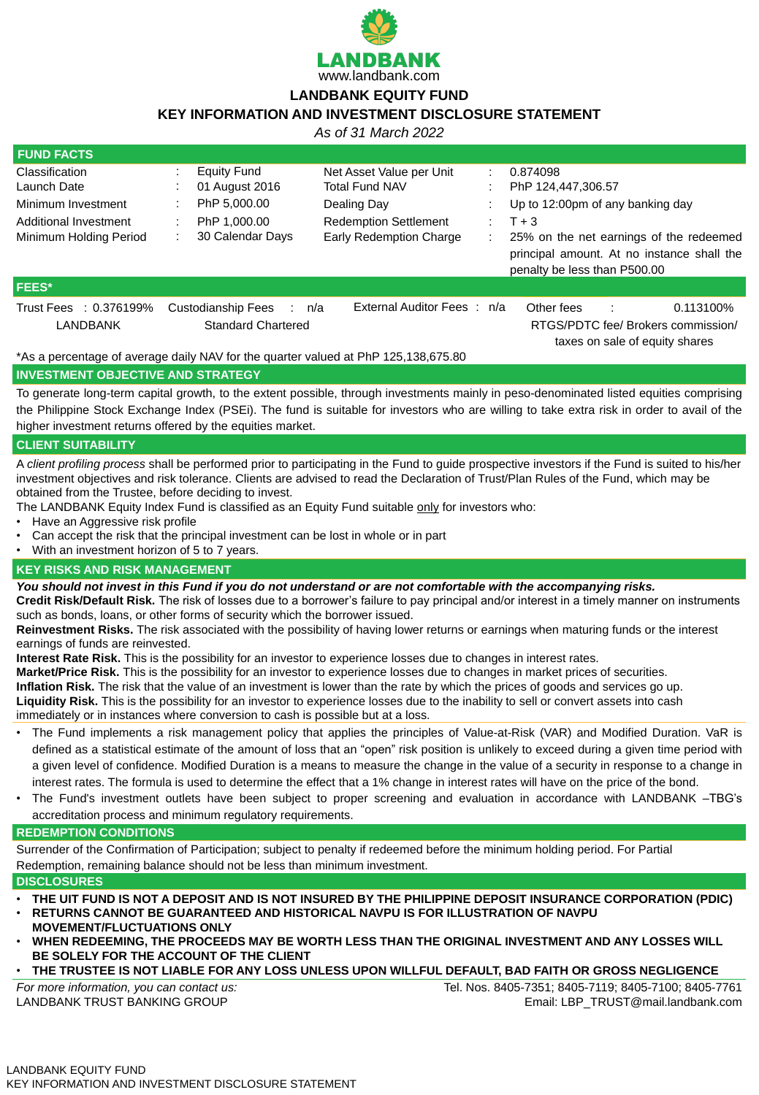

## **LANDBANK EQUITY FUND**

# **KEY INFORMATION AND INVESTMENT DISCLOSURE STATEMENT**

*As of 31 March 2022*

| <b>FUND FACTS</b>                     |  |                           |       |                                                                                    |                                                                      |                                                                                                                       |  |  |
|---------------------------------------|--|---------------------------|-------|------------------------------------------------------------------------------------|----------------------------------------------------------------------|-----------------------------------------------------------------------------------------------------------------------|--|--|
| <b>Classification</b>                 |  | <b>Equity Fund</b>        |       | Net Asset Value per Unit                                                           |                                                                      | 0.874098                                                                                                              |  |  |
| <b>Launch Date</b>                    |  | 01 August 2016            |       | <b>Total Fund NAV</b>                                                              |                                                                      | PhP 124,447,306.57                                                                                                    |  |  |
| Minimum Investment                    |  | PhP 5,000.00              |       | Dealing Day                                                                        |                                                                      | Up to 12:00pm of any banking day                                                                                      |  |  |
| Additional Investment                 |  | PhP 1,000.00              |       | <b>Redemption Settlement</b>                                                       | $\mathcal{L}^{\mathcal{L}}$ .                                        | $T + 3$                                                                                                               |  |  |
| <b>Minimum Holding Period</b>         |  | 30 Calendar Days          |       | <b>Early Redemption Charge</b>                                                     |                                                                      | 25% on the net earnings of the redeemed<br>principal amount. At no instance shall the<br>penalty be less than P500.00 |  |  |
| FEES*                                 |  |                           |       |                                                                                    |                                                                      |                                                                                                                       |  |  |
| Trust Fees : 0.376199%                |  | <b>Custodianship Fees</b> | : n/a | External Auditor Fees: n/a                                                         |                                                                      | Other fees<br>0.113100%                                                                                               |  |  |
| LANDBANK<br><b>Standard Chartered</b> |  |                           |       |                                                                                    | RTGS/PDTC fee/ Brokers commission/<br>taxes on sale of equity shares |                                                                                                                       |  |  |
|                                       |  |                           |       | *As a percentage of average daily NAV for the quarter valued at PhP 125,138,675.80 |                                                                      |                                                                                                                       |  |  |

#### **INVESTMENT OBJECTIVE AND STRATEGY**

To generate long-term capital growth, to the extent possible, through investments mainly in peso-denominated listed equities comprising the Philippine Stock Exchange Index (PSEi). The fund is suitable for investors who are willing to take extra risk in order to avail of the higher investment returns offered by the equities market.

#### **CLIENT SUITABILITY**

A *client profiling process* shall be performed prior to participating in the Fund to guide prospective investors if the Fund is suited to his/her investment objectives and risk tolerance. Clients are advised to read the Declaration of Trust/Plan Rules of the Fund, which may be obtained from the Trustee, before deciding to invest.

The LANDBANK Equity Index Fund is classified as an Equity Fund suitable only for investors who:

- Have an Aggressive risk profile
- Can accept the risk that the principal investment can be lost in whole or in part
- With an investment horizon of 5 to 7 years.

#### **KEY RISKS AND RISK MANAGEMENT**

*You should not invest in this Fund if you do not understand or are not comfortable with the accompanying risks.*

**Credit Risk/Default Risk.** The risk of losses due to a borrower's failure to pay principal and/or interest in a timely manner on instruments such as bonds, loans, or other forms of security which the borrower issued.

**Reinvestment Risks.** The risk associated with the possibility of having lower returns or earnings when maturing funds or the interest

earnings of funds are reinvested.

**Interest Rate Risk.** This is the possibility for an investor to experience losses due to changes in interest rates. **Market/Price Risk.** This is the possibility for an investor to experience losses due to changes in market prices of securities. **Inflation Risk.** The risk that the value of an investment is lower than the rate by which the prices of goods and services go up. **Liquidity Risk.** This is the possibility for an investor to experience losses due to the inability to sell or convert assets into cash immediately or in instances where conversion to cash is possible but at a loss.

- The Fund implements a risk management policy that applies the principles of Value-at-Risk (VAR) and Modified Duration. VaR is defined as a statistical estimate of the amount of loss that an "open" risk position is unlikely to exceed during a given time period with a given level of confidence. Modified Duration is a means to measure the change in the value of a security in response to a change in interest rates. The formula is used to determine the effect that a 1% change in interest rates will have on the price of the bond.
- The Fund's investment outlets have been subject to proper screening and evaluation in accordance with LANDBANK –TBG's accreditation process and minimum regulatory requirements.

#### **REDEMPTION CONDITIONS**

Surrender of the Confirmation of Participation; subject to penalty if redeemed before the minimum holding period. For Partial

Redemption, remaining balance should not be less than minimum investment.

#### **DISCLOSURES**

- **THE UIT FUND IS NOT A DEPOSIT AND IS NOT INSURED BY THE PHILIPPINE DEPOSIT INSURANCE CORPORATION (PDIC)**
- **RETURNS CANNOT BE GUARANTEED AND HISTORICAL NAVPU IS FOR ILLUSTRATION OF NAVPU MOVEMENT/FLUCTUATIONS ONLY**
- **WHEN REDEEMING, THE PROCEEDS MAY BE WORTH LESS THAN THE ORIGINAL INVESTMENT AND ANY LOSSES WILL BE SOLELY FOR THE ACCOUNT OF THE CLIENT**
- **THE TRUSTEE IS NOT LIABLE FOR ANY LOSS UNLESS UPON WILLFUL DEFAULT, BAD FAITH OR GROSS NEGLIGENCE**

*For more information, you can contact us:* LANDBANK TRUST BANKING GROUP

Tel. Nos. 8405-7351; 8405-7119; 8405-7100; 8405-7761 Email: LBP\_TRUST@mail.landbank.com